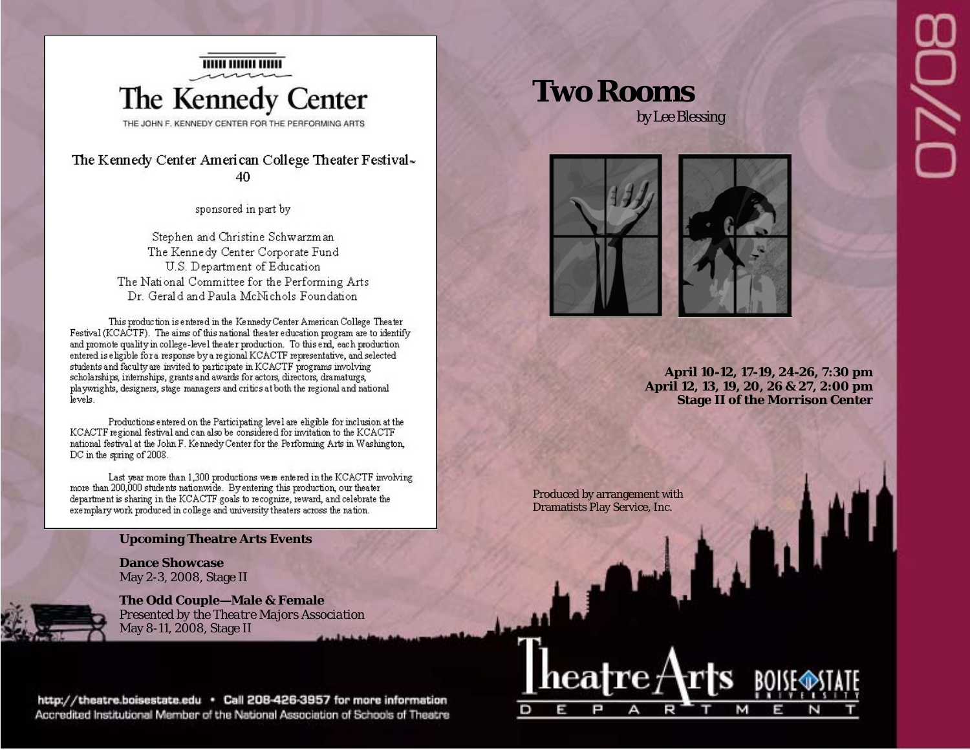

The Kennedy Center American College Theater Festival-40

sponsored in part by

Stephen and Christine Schwarzman The Kennedy Center Corporate Fund U.S. Department of Education The National Committee for the Performing Arts Dr. Gerald and Paula McNichols Foundation

This production is entered in the Kennedy Center American College Theater Festival (KCACTF). The aims of this national theater education program are to identify and promote quality in college-level the ater production. To this end, each production entered is eligible for a response by a regional KCACTF representative, and selected students and faculty are invited to participate in KCACTF programs involving scholarships, internships, grants and awards for actors, directors, dramaturgs, playwrights, designers, stage managers and critics at both the regional and national levels.

Productions entered on the Participating level are eligible for inclusion at the KCACTF regional festival and can also be considered for invitation to the KCACTF national festival at the John F. Kennedy Center for the Performing Arts in Washington, DC in the spring of 2008.

Last year more than 1,300 productions were entered in the KCACTF involving more than 200,000 students nationwide. By entering this production, our theater department is sharing in the KCACTF goals to recognize, reward, and celebrate the exemplary work produced in college and university theaters across the nation.

#### **Upcoming Theatre Arts Events**

**Dance Showcase** May 2-3, 2008, Stage II

**The Odd Couple—Male & Female**  *Presented by the Theatre Majors Association*  May 8-11, 2008, Stage II

http://theatre.boisestate.edu · Call 208-426-3957 for more information Accredited Institutional Member of the National Association of Schools of Theatre

# **Two Rooms**

by Lee Blessing



**April 10-12, 17-19, 24-26, 7:30 pm April 12, 13, 19, 20, 26 & 27, 2:00 pm Stage II of the Morrison Center** 

 $\mathbf{u}$ 

Produced by arrangement with Dramatists Play Service, Inc.